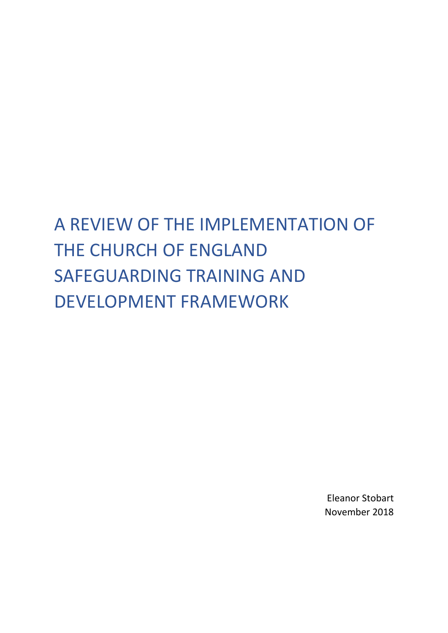# A REVIEW OF THE IMPLEMENTATION OF THE CHURCH OF ENGLAND SAFEGUARDING TRAINING AND DEVELOPMENT FRAMEWORK

Eleanor Stobart November 2018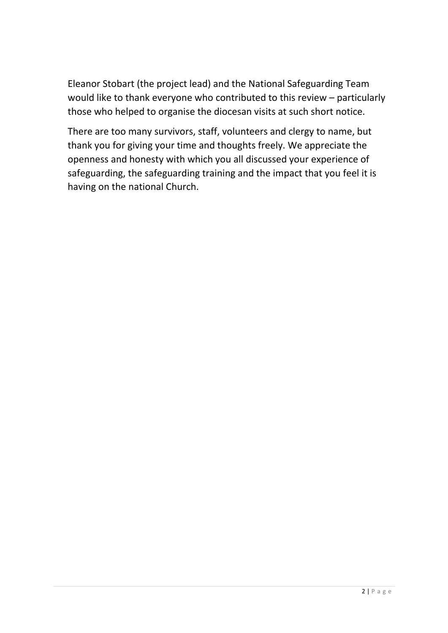Eleanor Stobart (the project lead) and the National Safeguarding Team would like to thank everyone who contributed to this review – particularly those who helped to organise the diocesan visits at such short notice.

There are too many survivors, staff, volunteers and clergy to name, but thank you for giving your time and thoughts freely. We appreciate the openness and honesty with which you all discussed your experience of safeguarding, the safeguarding training and the impact that you feel it is having on the national Church.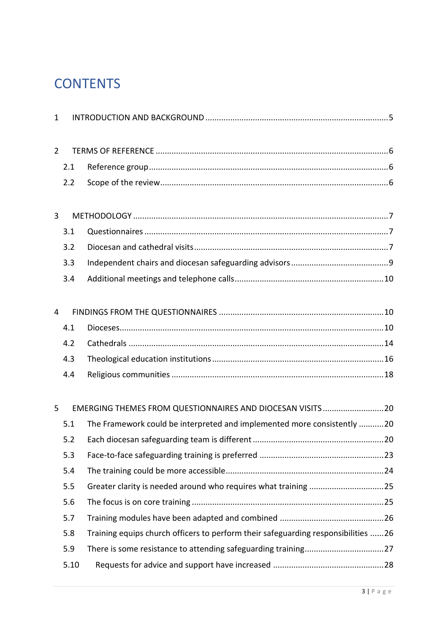# **CONTENTS**

| $\mathbf 1$    |      |                                                                                   |
|----------------|------|-----------------------------------------------------------------------------------|
| $\overline{2}$ |      |                                                                                   |
|                | 2.1  |                                                                                   |
|                | 2.2  |                                                                                   |
| 3              |      |                                                                                   |
|                | 3.1  |                                                                                   |
|                | 3.2  |                                                                                   |
|                | 3.3  |                                                                                   |
|                | 3.4  |                                                                                   |
| 4              |      |                                                                                   |
|                | 4.1  |                                                                                   |
|                | 4.2  |                                                                                   |
|                | 4.3  |                                                                                   |
|                | 4.4  |                                                                                   |
| 5              |      | EMERGING THEMES FROM QUESTIONNAIRES AND DIOCESAN VISITS 20                        |
|                | 5.1  | The Framework could be interpreted and implemented more consistently 20           |
|                | 5.2  |                                                                                   |
|                | 5.3  |                                                                                   |
|                | 5.4  |                                                                                   |
|                | 5.5  |                                                                                   |
|                | 5.6  |                                                                                   |
|                | 5.7  |                                                                                   |
|                | 5.8  | Training equips church officers to perform their safeguarding responsibilities 26 |
|                | 5.9  |                                                                                   |
|                | 5.10 |                                                                                   |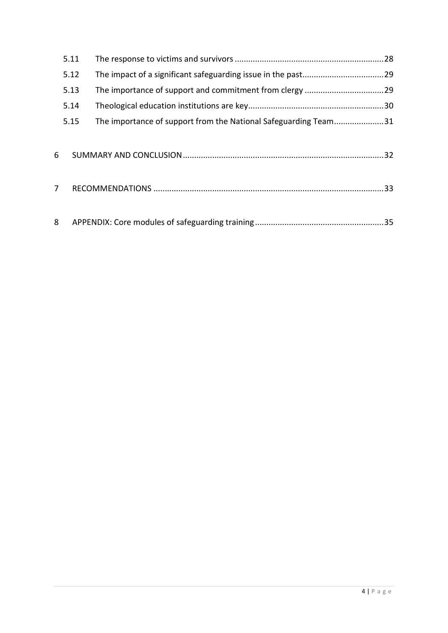|   | 5.11 |                                                                 |  |
|---|------|-----------------------------------------------------------------|--|
|   | 5.12 |                                                                 |  |
|   | 5.13 |                                                                 |  |
|   | 5.14 |                                                                 |  |
|   | 5.15 | The importance of support from the National Safeguarding Team31 |  |
|   |      |                                                                 |  |
| 6 |      |                                                                 |  |
|   |      |                                                                 |  |
| 7 |      |                                                                 |  |
|   |      |                                                                 |  |
| 8 |      |                                                                 |  |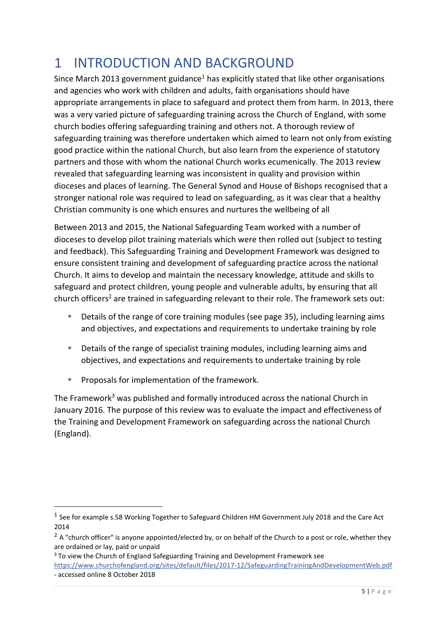# <span id="page-4-0"></span>1 INTRODUCTION AND BACKGROUND

Since March 2013 government guidance<sup>1</sup> has explicitly stated that like other organisations and agencies who work with children and adults, faith organisations should have appropriate arrangements in place to safeguard and protect them from harm. In 2013, there was a very varied picture of safeguarding training across the Church of England, with some church bodies offering safeguarding training and others not. A thorough review of safeguarding training was therefore undertaken which aimed to learn not only from existing good practice within the national Church, but also learn from the experience of statutory partners and those with whom the national Church works ecumenically. The 2013 review revealed that safeguarding learning was inconsistent in quality and provision within dioceses and places of learning. The General Synod and House of Bishops recognised that a stronger national role was required to lead on safeguarding, as it was clear that a healthy Christian community is one which ensures and nurtures the wellbeing of all

Between 2013 and 2015, the National Safeguarding Team worked with a number of dioceses to develop pilot training materials which were then rolled out (subject to testing and feedback). This Safeguarding Training and Development Framework was designed to ensure consistent training and development of safeguarding practice across the national Church. It aims to develop and maintain the necessary knowledge, attitude and skills to safeguard and protect children, young people and vulnerable adults, by ensuring that all church officers<sup>2</sup> are trained in safeguarding relevant to their role. The framework sets out:

- Details of the range of core training modules (see page 35), including learning aims and objectives, and expectations and requirements to undertake training by role
- Details of the range of specialist training modules, including learning aims and objectives, and expectations and requirements to undertake training by role
- Proposals for implementation of the framework.

-

The Framework<sup>3</sup> was published and formally introduced across the national Church in January 2016. The purpose of this review was to evaluate the impact and effectiveness of the Training and Development Framework on safeguarding across the national Church (England).

<sup>3</sup> To view the Church of England Safeguarding Training and Development Framework see

 $<sup>1</sup>$  See for example s.58 Working Together to Safeguard Children HM Government July 2018 and the Care Act</sup> 2014

 $2$  A "church officer" is anyone appointed/elected by, or on behalf of the Church to a post or role, whether they are ordained or lay, paid or unpaid

<https://www.churchofengland.org/sites/default/files/2017-12/SafeguardingTrainingAndDevelopmentWeb.pdf> - accessed online 8 October 2018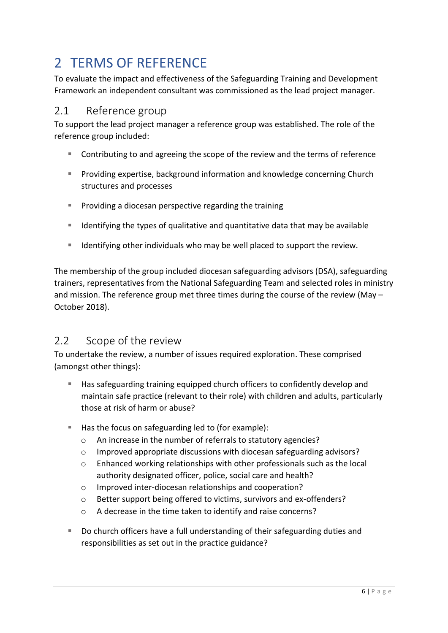# <span id="page-5-0"></span>2 TERMS OF REFERENCE

To evaluate the impact and effectiveness of the Safeguarding Training and Development Framework an independent consultant was commissioned as the lead project manager.

### <span id="page-5-1"></span>2.1 Reference group

To support the lead project manager a reference group was established. The role of the reference group included:

- Contributing to and agreeing the scope of the review and the terms of reference
- Providing expertise, background information and knowledge concerning Church structures and processes
- Providing a diocesan perspective regarding the training
- Identifying the types of qualitative and quantitative data that may be available
- Identifying other individuals who may be well placed to support the review.

The membership of the group included diocesan safeguarding advisors (DSA), safeguarding trainers, representatives from the National Safeguarding Team and selected roles in ministry and mission. The reference group met three times during the course of the review (May – October 2018).

### <span id="page-5-2"></span>2.2 Scope of the review

To undertake the review, a number of issues required exploration. These comprised (amongst other things):

- Has safeguarding training equipped church officers to confidently develop and maintain safe practice (relevant to their role) with children and adults, particularly those at risk of harm or abuse?
- Has the focus on safeguarding led to (for example):
	- o An increase in the number of referrals to statutory agencies?
	- o Improved appropriate discussions with diocesan safeguarding advisors?
	- $\circ$  Enhanced working relationships with other professionals such as the local authority designated officer, police, social care and health?
	- o Improved inter-diocesan relationships and cooperation?
	- o Better support being offered to victims, survivors and ex-offenders?
	- o A decrease in the time taken to identify and raise concerns?
- Do church officers have a full understanding of their safeguarding duties and responsibilities as set out in the practice guidance?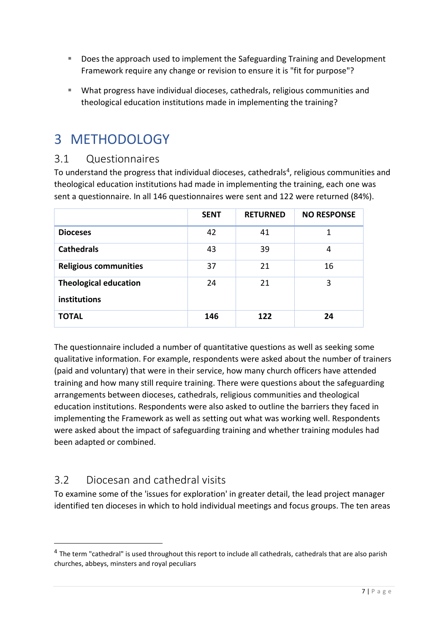- Does the approach used to implement the Safeguarding Training and Development Framework require any change or revision to ensure it is "fit for purpose"?
- What progress have individual dioceses, cathedrals, religious communities and theological education institutions made in implementing the training?

# <span id="page-6-0"></span>3 METHODOLOGY

### <span id="page-6-1"></span>3.1 Questionnaires

To understand the progress that individual dioceses, cathedrals<sup>4</sup>, religious communities and theological education institutions had made in implementing the training, each one was sent a questionnaire. In all 146 questionnaires were sent and 122 were returned (84%).

|                                              | <b>SENT</b> | <b>RETURNED</b> | <b>NO RESPONSE</b> |
|----------------------------------------------|-------------|-----------------|--------------------|
| <b>Dioceses</b>                              | 42          | 41              | 1                  |
| <b>Cathedrals</b>                            | 43          | 39              | 4                  |
| <b>Religious communities</b>                 | 37          | 21              | 16                 |
| <b>Theological education</b><br>institutions | 24          | 21              | 3                  |
| <b>TOTAL</b>                                 | 146         | 122             | 24                 |

The questionnaire included a number of quantitative questions as well as seeking some qualitative information. For example, respondents were asked about the number of trainers (paid and voluntary) that were in their service, how many church officers have attended training and how many still require training. There were questions about the safeguarding arrangements between dioceses, cathedrals, religious communities and theological education institutions. Respondents were also asked to outline the barriers they faced in implementing the Framework as well as setting out what was working well. Respondents were asked about the impact of safeguarding training and whether training modules had been adapted or combined.

## <span id="page-6-2"></span>3.2 Diocesan and cathedral visits

-

To examine some of the 'issues for exploration' in greater detail, the lead project manager identified ten dioceses in which to hold individual meetings and focus groups. The ten areas

<sup>&</sup>lt;sup>4</sup> The term "cathedral" is used throughout this report to include all cathedrals, cathedrals that are also parish churches, abbeys, minsters and royal peculiars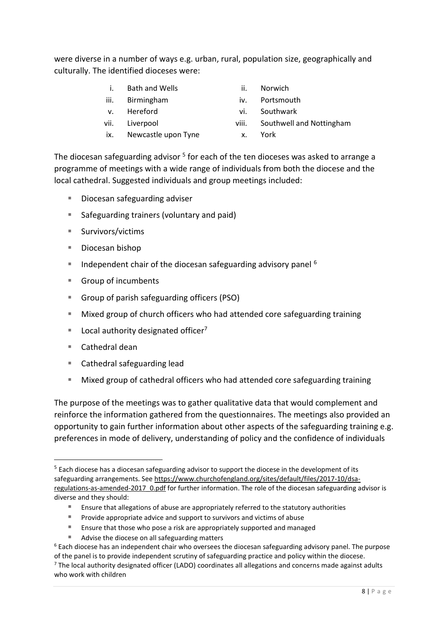were diverse in a number of ways e.g. urban, rural, population size, geographically and culturally. The identified dioceses were:

- i. Bath and Wells **ii.** Norwich
- iii. Birmingham iv. Portsmouth
- 
- 
- 
- 
- v. Hereford vi. Southwark
- vii. Liverpool viii. Southwell and Nottingham
- ix. Newcastle upon Tyne x. York

The diocesan safeguarding advisor <sup>5</sup> for each of the ten dioceses was asked to arrange a programme of meetings with a wide range of individuals from both the diocese and the local cathedral. Suggested individuals and group meetings included:

- Diocesan safeguarding adviser
- Safeguarding trainers (voluntary and paid)
- Survivors/victims
- Diocesan bishop
- $\blacksquare$  Independent chair of the diocesan safeguarding advisory panel  $\sp{6}$
- Group of incumbents
- Group of parish safeguarding officers (PSO)
- Mixed group of church officers who had attended core safeguarding training
- **EXEC** Local authority designated officer<sup>7</sup>
- Cathedral dean

.

- Cathedral safeguarding lead
- Mixed group of cathedral officers who had attended core safeguarding training

The purpose of the meetings was to gather qualitative data that would complement and reinforce the information gathered from the questionnaires. The meetings also provided an opportunity to gain further information about other aspects of the safeguarding training e.g. preferences in mode of delivery, understanding of policy and the confidence of individuals

- Ensure that allegations of abuse are appropriately referred to the statutory authorities
- Provide appropriate advice and support to survivors and victims of abuse
- Ensure that those who pose a risk are appropriately supported and managed
- Advise the diocese on all safeguarding matters

<sup>&</sup>lt;sup>5</sup> Each diocese has a diocesan safeguarding advisor to support the diocese in the development of its safeguarding arrangements. See [https://www.churchofengland.org/sites/default/files/2017-10/dsa](https://www.churchofengland.org/sites/default/files/2017-10/dsa-regulations-as-amended-2017_0.pdf)[regulations-as-amended-2017\\_0.pdf](https://www.churchofengland.org/sites/default/files/2017-10/dsa-regulations-as-amended-2017_0.pdf) for further information. The role of the diocesan safeguarding advisor is diverse and they should:

<sup>&</sup>lt;sup>6</sup> Each diocese has an independent chair who oversees the diocesan safeguarding advisory panel. The purpose of the panel is to provide independent scrutiny of safeguarding practice and policy within the diocese.  $7$  The local authority designated officer (LADO) coordinates all allegations and concerns made against adults who work with children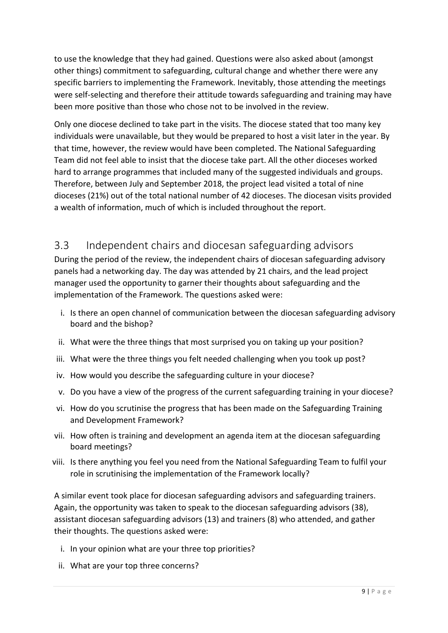to use the knowledge that they had gained. Questions were also asked about (amongst other things) commitment to safeguarding, cultural change and whether there were any specific barriers to implementing the Framework. Inevitably, those attending the meetings were self-selecting and therefore their attitude towards safeguarding and training may have been more positive than those who chose not to be involved in the review.

Only one diocese declined to take part in the visits. The diocese stated that too many key individuals were unavailable, but they would be prepared to host a visit later in the year. By that time, however, the review would have been completed. The National Safeguarding Team did not feel able to insist that the diocese take part. All the other dioceses worked hard to arrange programmes that included many of the suggested individuals and groups. Therefore, between July and September 2018, the project lead visited a total of nine dioceses (21%) out of the total national number of 42 dioceses. The diocesan visits provided a wealth of information, much of which is included throughout the report.

### <span id="page-8-0"></span>3.3 Independent chairs and diocesan safeguarding advisors

During the period of the review, the independent chairs of diocesan safeguarding advisory panels had a networking day. The day was attended by 21 chairs, and the lead project manager used the opportunity to garner their thoughts about safeguarding and the implementation of the Framework. The questions asked were:

- i. Is there an open channel of communication between the diocesan safeguarding advisory board and the bishop?
- ii. What were the three things that most surprised you on taking up your position?
- iii. What were the three things you felt needed challenging when you took up post?
- iv. How would you describe the safeguarding culture in your diocese?
- v. Do you have a view of the progress of the current safeguarding training in your diocese?
- vi. How do you scrutinise the progress that has been made on the Safeguarding Training and Development Framework?
- vii. How often is training and development an agenda item at the diocesan safeguarding board meetings?
- viii. Is there anything you feel you need from the National Safeguarding Team to fulfil your role in scrutinising the implementation of the Framework locally?

A similar event took place for diocesan safeguarding advisors and safeguarding trainers. Again, the opportunity was taken to speak to the diocesan safeguarding advisors (38), assistant diocesan safeguarding advisors (13) and trainers (8) who attended, and gather their thoughts. The questions asked were:

- i. In your opinion what are your three top priorities?
- ii. What are your top three concerns?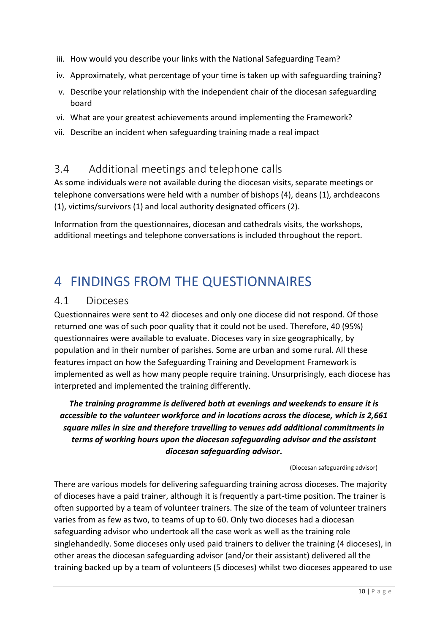- iii. How would you describe your links with the National Safeguarding Team?
- iv. Approximately, what percentage of your time is taken up with safeguarding training?
- v. Describe your relationship with the independent chair of the diocesan safeguarding board
- vi. What are your greatest achievements around implementing the Framework?
- vii. Describe an incident when safeguarding training made a real impact

### <span id="page-9-0"></span>3.4 Additional meetings and telephone calls

As some individuals were not available during the diocesan visits, separate meetings or telephone conversations were held with a number of bishops (4), deans (1), archdeacons (1), victims/survivors (1) and local authority designated officers (2).

Information from the questionnaires, diocesan and cathedrals visits, the workshops, additional meetings and telephone conversations is included throughout the report.

## <span id="page-9-1"></span>4 FINDINGS FROM THE QUESTIONNAIRES

#### <span id="page-9-2"></span>4.1 Dioceses

Questionnaires were sent to 42 dioceses and only one diocese did not respond. Of those returned one was of such poor quality that it could not be used. Therefore, 40 (95%) questionnaires were available to evaluate. Dioceses vary in size geographically, by population and in their number of parishes. Some are urban and some rural. All these features impact on how the Safeguarding Training and Development Framework is implemented as well as how many people require training. Unsurprisingly, each diocese has interpreted and implemented the training differently.

*The training programme is delivered both at evenings and weekends to ensure it is accessible to the volunteer workforce and in locations across the diocese, which is 2,661 square miles in size and therefore travelling to venues add additional commitments in terms of working hours upon the diocesan safeguarding advisor and the assistant diocesan safeguarding advisor***.** 

(Diocesan safeguarding advisor)

There are various models for delivering safeguarding training across dioceses. The majority of dioceses have a paid trainer, although it is frequently a part-time position. The trainer is often supported by a team of volunteer trainers. The size of the team of volunteer trainers varies from as few as two, to teams of up to 60. Only two dioceses had a diocesan safeguarding advisor who undertook all the case work as well as the training role singlehandedly. Some dioceses only used paid trainers to deliver the training (4 dioceses), in other areas the diocesan safeguarding advisor (and/or their assistant) delivered all the training backed up by a team of volunteers (5 dioceses) whilst two dioceses appeared to use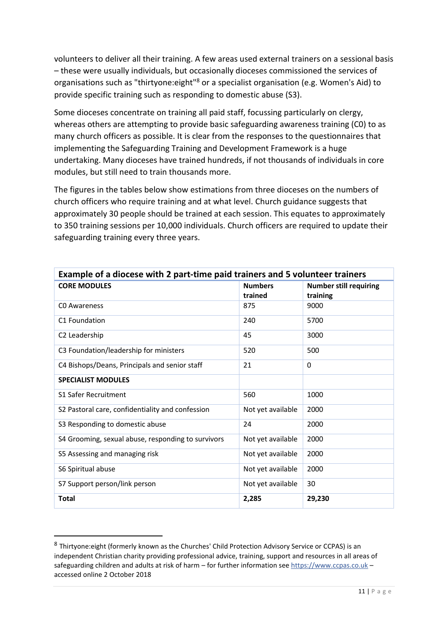volunteers to deliver all their training. A few areas used external trainers on a sessional basis – these were usually individuals, but occasionally dioceses commissioned the services of organisations such as "thirtyone:eight"<sup>8</sup> or a specialist organisation (e.g. Women's Aid) to provide specific training such as responding to domestic abuse (S3).

Some dioceses concentrate on training all paid staff, focussing particularly on clergy, whereas others are attempting to provide basic safeguarding awareness training (C0) to as many church officers as possible. It is clear from the responses to the questionnaires that implementing the Safeguarding Training and Development Framework is a huge undertaking. Many dioceses have trained hundreds, if not thousands of individuals in core modules, but still need to train thousands more.

The figures in the tables below show estimations from three dioceses on the numbers of church officers who require training and at what level. Church guidance suggests that approximately 30 people should be trained at each session. This equates to approximately to 350 training sessions per 10,000 individuals. Church officers are required to update their safeguarding training every three years.

| Example of a diocese with 2 part-time paid trainers and 5 volunteer trainers |                           |                                           |  |
|------------------------------------------------------------------------------|---------------------------|-------------------------------------------|--|
| <b>CORE MODULES</b>                                                          | <b>Numbers</b><br>trained | <b>Number still requiring</b><br>training |  |
| CO Awareness                                                                 | 875                       | 9000                                      |  |
| C1 Foundation                                                                | 240                       | 5700                                      |  |
| C2 Leadership                                                                | 45                        | 3000                                      |  |
| C3 Foundation/leadership for ministers                                       | 520                       | 500                                       |  |
| C4 Bishops/Deans, Principals and senior staff                                | 21                        | 0                                         |  |
| <b>SPECIALIST MODULES</b>                                                    |                           |                                           |  |
| S1 Safer Recruitment                                                         | 560                       | 1000                                      |  |
| S2 Pastoral care, confidentiality and confession                             | Not yet available         | 2000                                      |  |
| S3 Responding to domestic abuse                                              | 24                        | 2000                                      |  |
| S4 Grooming, sexual abuse, responding to survivors                           | Not yet available         | 2000                                      |  |
| S5 Assessing and managing risk                                               | Not yet available         | 2000                                      |  |
| S6 Spiritual abuse                                                           | Not yet available         | 2000                                      |  |
| S7 Support person/link person                                                | Not yet available         | 30                                        |  |
| <b>Total</b>                                                                 | 2,285                     | 29,230                                    |  |

-

<sup>&</sup>lt;sup>8</sup> Thirtyone:eight (formerly known as the Churches' Child Protection Advisory Service or CCPAS) is an independent Christian charity providing professional advice, training, support and resources in all areas of safeguarding children and adults at risk of harm – for further information see [https://www.ccpas.co.uk](https://www.ccpas.co.uk/) – accessed online 2 October 2018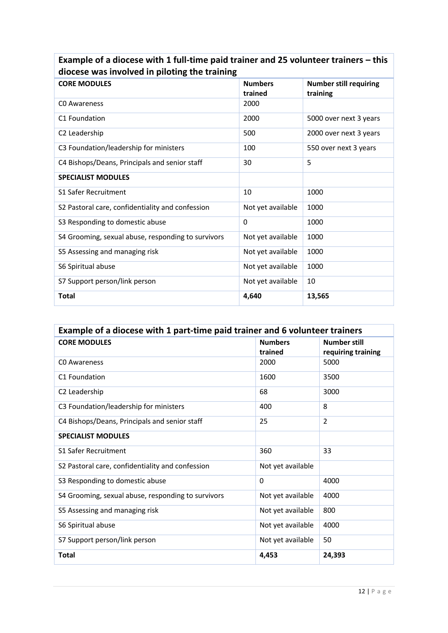| Example of a diocese with 1 full-time paid trainer and 25 volunteer trainers – this |
|-------------------------------------------------------------------------------------|
| diocese was involved in piloting the training                                       |

| <b>CORE MODULES</b>                                | <b>Numbers</b><br>trained | <b>Number still requiring</b><br>training |
|----------------------------------------------------|---------------------------|-------------------------------------------|
| CO Awareness                                       | 2000                      |                                           |
| C1 Foundation                                      | 2000                      | 5000 over next 3 years                    |
| C2 Leadership                                      | 500                       | 2000 over next 3 years                    |
| C3 Foundation/leadership for ministers             | 100                       | 550 over next 3 years                     |
| C4 Bishops/Deans, Principals and senior staff      | 30                        | 5                                         |
| <b>SPECIALIST MODULES</b>                          |                           |                                           |
| S1 Safer Recruitment                               | 10                        | 1000                                      |
| S2 Pastoral care, confidentiality and confession   | Not yet available         | 1000                                      |
| S3 Responding to domestic abuse                    | 0                         | 1000                                      |
| S4 Grooming, sexual abuse, responding to survivors | Not yet available         | 1000                                      |
| S5 Assessing and managing risk                     | Not yet available         | 1000                                      |
| S6 Spiritual abuse                                 | Not yet available         | 1000                                      |
| S7 Support person/link person                      | Not yet available         | 10                                        |
| <b>Total</b>                                       | 4,640                     | 13,565                                    |

| Example of a diocese with 1 part-time paid trainer and 6 volunteer trainers |                           |                                           |  |
|-----------------------------------------------------------------------------|---------------------------|-------------------------------------------|--|
| <b>CORE MODULES</b>                                                         | <b>Numbers</b><br>trained | <b>Number still</b><br>requiring training |  |
| CO Awareness                                                                | 2000                      | 5000                                      |  |
| C1 Foundation                                                               | 1600                      | 3500                                      |  |
| C2 Leadership                                                               | 68                        | 3000                                      |  |
| C3 Foundation/leadership for ministers                                      | 400                       | 8                                         |  |
| C4 Bishops/Deans, Principals and senior staff                               | 25                        | $\overline{2}$                            |  |
| <b>SPECIALIST MODULES</b>                                                   |                           |                                           |  |
| S1 Safer Recruitment                                                        | 360                       | 33                                        |  |
| S2 Pastoral care, confidentiality and confession                            | Not yet available         |                                           |  |
| S3 Responding to domestic abuse                                             | $\Omega$                  | 4000                                      |  |
| S4 Grooming, sexual abuse, responding to survivors                          | Not yet available         | 4000                                      |  |
| S5 Assessing and managing risk                                              | Not yet available         | 800                                       |  |
| S6 Spiritual abuse                                                          | Not yet available         | 4000                                      |  |
| S7 Support person/link person                                               | Not yet available         | 50                                        |  |
| <b>Total</b>                                                                | 4,453                     | 24,393                                    |  |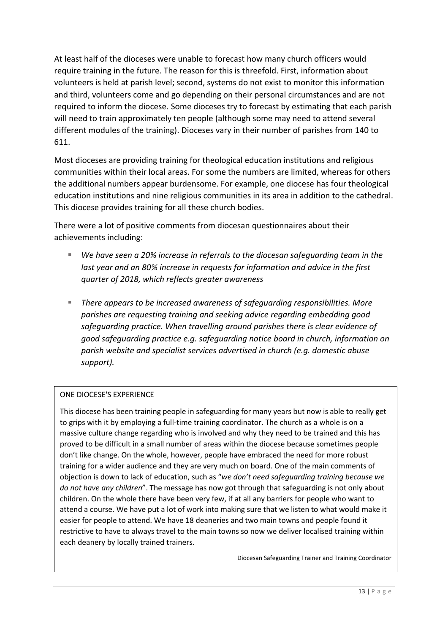At least half of the dioceses were unable to forecast how many church officers would require training in the future. The reason for this is threefold. First, information about volunteers is held at parish level; second, systems do not exist to monitor this information and third, volunteers come and go depending on their personal circumstances and are not required to inform the diocese. Some dioceses try to forecast by estimating that each parish will need to train approximately ten people (although some may need to attend several different modules of the training). Dioceses vary in their number of parishes from 140 to 611.

Most dioceses are providing training for theological education institutions and religious communities within their local areas. For some the numbers are limited, whereas for others the additional numbers appear burdensome. For example, one diocese has four theological education institutions and nine religious communities in its area in addition to the cathedral. This diocese provides training for all these church bodies.

There were a lot of positive comments from diocesan questionnaires about their achievements including:

- *We have seen a 20% increase in referrals to the diocesan safeguarding team in the last year and an 80% increase in requests for information and advice in the first quarter of 2018, which reflects greater awareness*
- *There appears to be increased awareness of safeguarding responsibilities. More parishes are requesting training and seeking advice regarding embedding good safeguarding practice. When travelling around parishes there is clear evidence of good safeguarding practice e.g. safeguarding notice board in church, information on parish website and specialist services advertised in church (e.g. domestic abuse support).*

#### ONE DIOCESE'S EXPERIENCE

This diocese has been training people in safeguarding for many years but now is able to really get to grips with it by employing a full-time training coordinator. The church as a whole is on a massive culture change regarding who is involved and why they need to be trained and this has proved to be difficult in a small number of areas within the diocese because sometimes people don't like change. On the whole, however, people have embraced the need for more robust training for a wider audience and they are very much on board. One of the main comments of objection is down to lack of education, such as "*we don't need safeguarding training because we do not have any children*". The message has now got through that safeguarding is not only about children. On the whole there have been very few, if at all any barriers for people who want to attend a course. We have put a lot of work into making sure that we listen to what would make it easier for people to attend. We have 18 deaneries and two main towns and people found it restrictive to have to always travel to the main towns so now we deliver localised training within each deanery by locally trained trainers.

Diocesan Safeguarding Trainer and Training Coordinator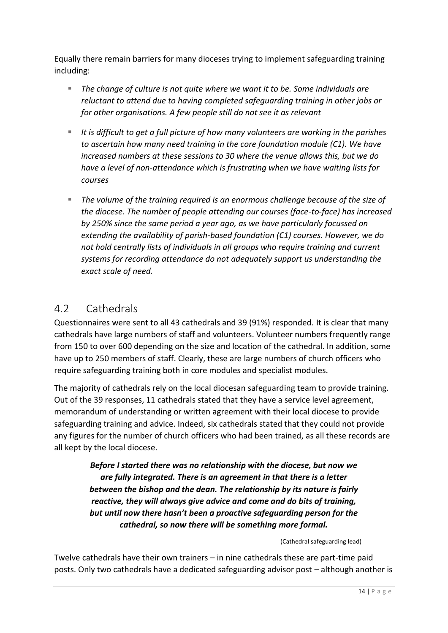Equally there remain barriers for many dioceses trying to implement safeguarding training including:

- The change of culture is not quite where we want it to be. Some individuals are *reluctant to attend due to having completed safeguarding training in other jobs or for other organisations. A few people still do not see it as relevant*
- It is difficult to get a full picture of how many volunteers are working in the parishes *to ascertain how many need training in the core foundation module (C1). We have increased numbers at these sessions to 30 where the venue allows this, but we do have a level of non-attendance which is frustrating when we have waiting lists for courses*
- The volume of the training required is an enormous challenge because of the size of *the diocese. The number of people attending our courses (face-to-face) has increased by 250% since the same period a year ago, as we have particularly focussed on extending the availability of parish-based foundation (C1) courses. However, we do not hold centrally lists of individuals in all groups who require training and current systems for recording attendance do not adequately support us understanding the exact scale of need.*

### <span id="page-13-0"></span>4.2 Cathedrals

Questionnaires were sent to all 43 cathedrals and 39 (91%) responded. It is clear that many cathedrals have large numbers of staff and volunteers. Volunteer numbers frequently range from 150 to over 600 depending on the size and location of the cathedral. In addition, some have up to 250 members of staff. Clearly, these are large numbers of church officers who require safeguarding training both in core modules and specialist modules.

The majority of cathedrals rely on the local diocesan safeguarding team to provide training. Out of the 39 responses, 11 cathedrals stated that they have a service level agreement, memorandum of understanding or written agreement with their local diocese to provide safeguarding training and advice. Indeed, six cathedrals stated that they could not provide any figures for the number of church officers who had been trained, as all these records are all kept by the local diocese.

> *Before I started there was no relationship with the diocese, but now we are fully integrated. There is an agreement in that there is a letter between the bishop and the dean. The relationship by its nature is fairly reactive, they will always give advice and come and do bits of training, but until now there hasn't been a proactive safeguarding person for the cathedral, so now there will be something more formal.*

> > (Cathedral safeguarding lead)

Twelve cathedrals have their own trainers – in nine cathedrals these are part-time paid posts. Only two cathedrals have a dedicated safeguarding advisor post – although another is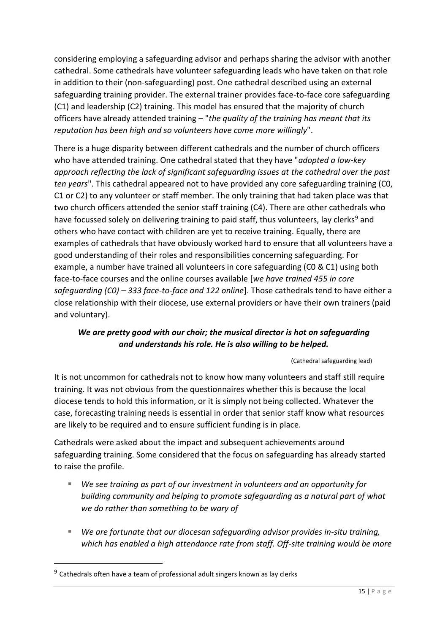considering employing a safeguarding advisor and perhaps sharing the advisor with another cathedral. Some cathedrals have volunteer safeguarding leads who have taken on that role in addition to their (non-safeguarding) post. One cathedral described using an external safeguarding training provider. The external trainer provides face-to-face core safeguarding (C1) and leadership (C2) training. This model has ensured that the majority of church officers have already attended training – "*the quality of the training has meant that its reputation has been high and so volunteers have come more willingly*".

There is a huge disparity between different cathedrals and the number of church officers who have attended training. One cathedral stated that they have "*adopted a low-key approach reflecting the lack of significant safeguarding issues at the cathedral over the past ten years*". This cathedral appeared not to have provided any core safeguarding training (C0, C1 or C2) to any volunteer or staff member. The only training that had taken place was that two church officers attended the senior staff training (C4). There are other cathedrals who have focussed solely on delivering training to paid staff, thus volunteers, lay clerks<sup>9</sup> and others who have contact with children are yet to receive training. Equally, there are examples of cathedrals that have obviously worked hard to ensure that all volunteers have a good understanding of their roles and responsibilities concerning safeguarding. For example, a number have trained all volunteers in core safeguarding (C0 & C1) using both face-to-face courses and the online courses available [*we have trained 455 in core safeguarding (C0) – 333 face-to-face and 122 online*]. Those cathedrals tend to have either a close relationship with their diocese, use external providers or have their own trainers (paid and voluntary).

### *We are pretty good with our choir; the musical director is hot on safeguarding and understands his role. He is also willing to be helped.*

#### (Cathedral safeguarding lead)

It is not uncommon for cathedrals not to know how many volunteers and staff still require training. It was not obvious from the questionnaires whether this is because the local diocese tends to hold this information, or it is simply not being collected. Whatever the case, forecasting training needs is essential in order that senior staff know what resources are likely to be required and to ensure sufficient funding is in place.

Cathedrals were asked about the impact and subsequent achievements around safeguarding training. Some considered that the focus on safeguarding has already started to raise the profile.

- *We see training as part of our investment in volunteers and an opportunity for building community and helping to promote safeguarding as a natural part of what we do rather than something to be wary of*
- We are fortunate that our diocesan safeguarding advisor provides in-situ training, *which has enabled a high attendance rate from staff. Off-site training would be more*

-

 $9$  Cathedrals often have a team of professional adult singers known as lay clerks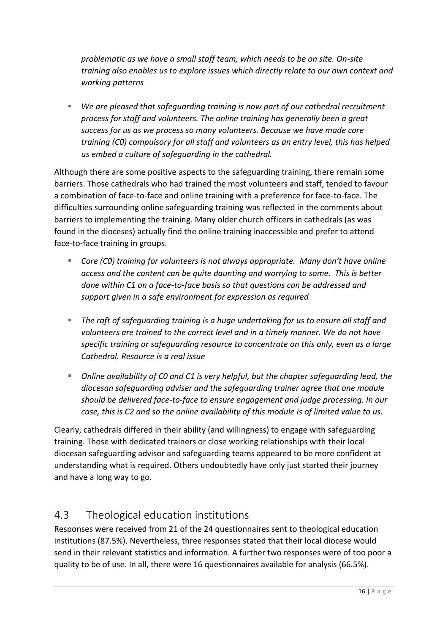*problematic as we have a small staff team, which needs to be on site. On-site training also enables us to explore issues which directly relate to our own context and working patterns*

■ We are pleased that safeguarding training is now part of our cathedral recruitment *process for staff and volunteers. The online training has generally been a great success for us as we process so many volunteers. Because we have made core training (C0) compulsory for all staff and volunteers as an entry level, this has helped us embed a culture of safeguarding in the cathedral.*

Although there are some positive aspects to the safeguarding training, there remain some barriers. Those cathedrals who had trained the most volunteers and staff, tended to favour a combination of face-to-face and online training with a preference for face-to-face. The difficulties surrounding online safeguarding training was reflected in the comments about barriers to implementing the training. Many older church officers in cathedrals (as was found in the dioceses) actually find the online training inaccessible and prefer to attend face-to-face training in groups.

- *Core (C0) training for volunteers is not always appropriate. Many don't have online access and the content can be quite daunting and worrying to some. This is better done within C1 on a face-to-face basis so that questions can be addressed and support given in a safe environment for expression as required*
- The raft of safeguarding training is a huge undertaking for us to ensure all staff and *volunteers are trained to the correct level and in a timely manner. We do not have specific training or safeguarding resource to concentrate on this only, even as a large Cathedral. Resource is a real issue*
- Online availability of C0 and C1 is very helpful, but the chapter safequarding lead, the *diocesan safeguarding adviser and the safeguarding trainer agree that one module should be delivered face-to-face to ensure engagement and judge processing. In our case, this is C2 and so the online availability of this module is of limited value to us.*

Clearly, cathedrals differed in their ability (and willingness) to engage with safeguarding training. Those with dedicated trainers or close working relationships with their local diocesan safeguarding advisor and safeguarding teams appeared to be more confident at understanding what is required. Others undoubtedly have only just started their journey and have a long way to go.

## <span id="page-15-0"></span>4.3 Theological education institutions

Responses were received from 21 of the 24 questionnaires sent to theological education institutions (87.5%). Nevertheless, three responses stated that their local diocese would send in their relevant statistics and information. A further two responses were of too poor a quality to be of use. In all, there were 16 questionnaires available for analysis (66.5%).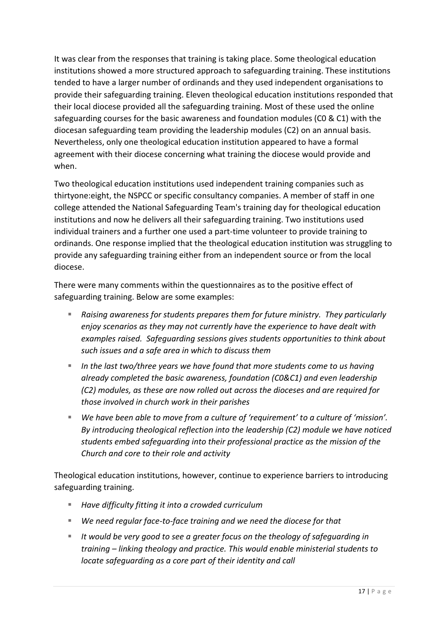It was clear from the responses that training is taking place. Some theological education institutions showed a more structured approach to safeguarding training. These institutions tended to have a larger number of ordinands and they used independent organisations to provide their safeguarding training. Eleven theological education institutions responded that their local diocese provided all the safeguarding training. Most of these used the online safeguarding courses for the basic awareness and foundation modules (C0 & C1) with the diocesan safeguarding team providing the leadership modules (C2) on an annual basis. Nevertheless, only one theological education institution appeared to have a formal agreement with their diocese concerning what training the diocese would provide and when.

Two theological education institutions used independent training companies such as thirtyone:eight, the NSPCC or specific consultancy companies. A member of staff in one college attended the National Safeguarding Team's training day for theological education institutions and now he delivers all their safeguarding training. Two institutions used individual trainers and a further one used a part-time volunteer to provide training to ordinands. One response implied that the theological education institution was struggling to provide any safeguarding training either from an independent source or from the local diocese.

There were many comments within the questionnaires as to the positive effect of safeguarding training. Below are some examples:

- *Raising awareness for students prepares them for future ministry. They particularly enjoy scenarios as they may not currently have the experience to have dealt with examples raised. Safeguarding sessions gives students opportunities to think about such issues and a safe area in which to discuss them*
- In the last two/three years we have found that more students come to us having *already completed the basic awareness, foundation (C0&C1) and even leadership (C2) modules, as these are now rolled out across the dioceses and are required for those involved in church work in their parishes*
- We have been able to move from a culture of 'requirement' to a culture of 'mission'. *By introducing theological reflection into the leadership (C2) module we have noticed students embed safeguarding into their professional practice as the mission of the Church and core to their role and activity*

Theological education institutions, however, continue to experience barriers to introducing safeguarding training.

- *Have difficulty fitting it into a crowded curriculum*
- *We need regular face-to-face training and we need the diocese for that*
- It would be very good to see a greater focus on the theology of safeguarding in *training – linking theology and practice. This would enable ministerial students to locate safeguarding as a core part of their identity and call*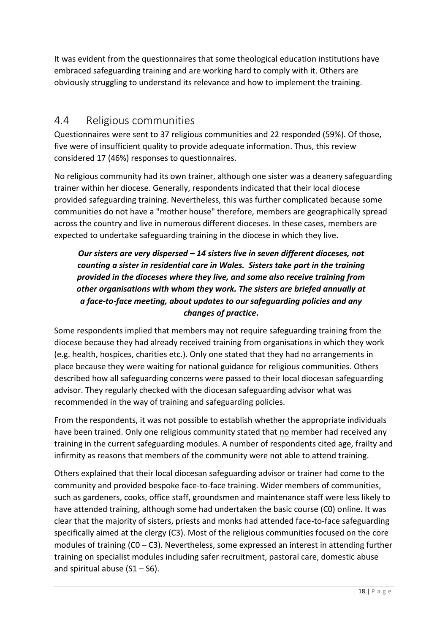It was evident from the questionnaires that some theological education institutions have embraced safeguarding training and are working hard to comply with it. Others are obviously struggling to understand its relevance and how to implement the training.

### <span id="page-17-0"></span>4.4 Religious communities

Questionnaires were sent to 37 religious communities and 22 responded (59%). Of those, five were of insufficient quality to provide adequate information. Thus, this review considered 17 (46%) responses to questionnaires.

No religious community had its own trainer, although one sister was a deanery safeguarding trainer within her diocese. Generally, respondents indicated that their local diocese provided safeguarding training. Nevertheless, this was further complicated because some communities do not have a "mother house" therefore, members are geographically spread across the country and live in numerous different dioceses. In these cases, members are expected to undertake safeguarding training in the diocese in which they live.

### *Our sisters are very dispersed – 14 sisters live in seven different dioceses, not counting a sister in residential care in Wales. Sisters take part in the training provided in the dioceses where they live, and some also receive training from other organisations with whom they work. The sisters are briefed annually at a face-to-face meeting, about updates to our safeguarding policies and any changes of practice***.**

Some respondents implied that members may not require safeguarding training from the diocese because they had already received training from organisations in which they work (e.g. health, hospices, charities etc.). Only one stated that they had no arrangements in place because they were waiting for national guidance for religious communities. Others described how all safeguarding concerns were passed to their local diocesan safeguarding advisor. They regularly checked with the diocesan safeguarding advisor what was recommended in the way of training and safeguarding policies.

From the respondents, it was not possible to establish whether the appropriate individuals have been trained. Only one religious community stated that no member had received any training in the current safeguarding modules. A number of respondents cited age, frailty and infirmity as reasons that members of the community were not able to attend training.

Others explained that their local diocesan safeguarding advisor or trainer had come to the community and provided bespoke face-to-face training. Wider members of communities, such as gardeners, cooks, office staff, groundsmen and maintenance staff were less likely to have attended training, although some had undertaken the basic course (C0) online. It was clear that the majority of sisters, priests and monks had attended face-to-face safeguarding specifically aimed at the clergy (C3). Most of the religious communities focused on the core modules of training (C0 – C3). Nevertheless, some expressed an interest in attending further training on specialist modules including safer recruitment, pastoral care, domestic abuse and spiritual abuse  $(S1 - S6)$ .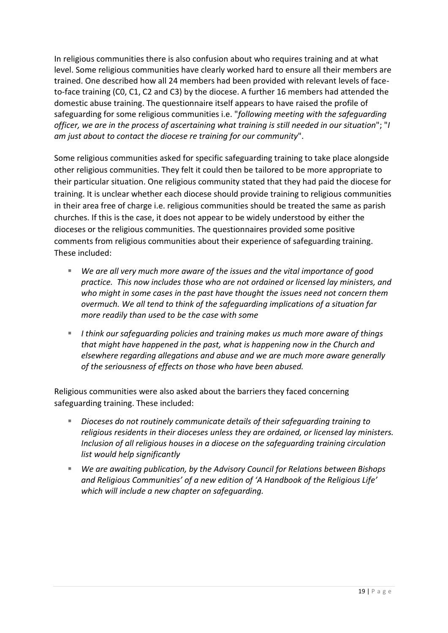In religious communities there is also confusion about who requires training and at what level. Some religious communities have clearly worked hard to ensure all their members are trained. One described how all 24 members had been provided with relevant levels of faceto-face training (C0, C1, C2 and C3) by the diocese. A further 16 members had attended the domestic abuse training. The questionnaire itself appears to have raised the profile of safeguarding for some religious communities i.e. "*following meeting with the safeguarding officer, we are in the process of ascertaining what training is still needed in our situation*"; "*I am just about to contact the diocese re training for our community*".

Some religious communities asked for specific safeguarding training to take place alongside other religious communities. They felt it could then be tailored to be more appropriate to their particular situation. One religious community stated that they had paid the diocese for training. It is unclear whether each diocese should provide training to religious communities in their area free of charge i.e. religious communities should be treated the same as parish churches. If this is the case, it does not appear to be widely understood by either the dioceses or the religious communities. The questionnaires provided some positive comments from religious communities about their experience of safeguarding training. These included:

- *We are all very much more aware of the issues and the vital importance of good practice. This now includes those who are not ordained or licensed lay ministers, and who might in some cases in the past have thought the issues need not concern them overmuch. We all tend to think of the safeguarding implications of a situation far more readily than used to be the case with some*
- *I think our safeguarding policies and training makes us much more aware of things that might have happened in the past, what is happening now in the Church and elsewhere regarding allegations and abuse and we are much more aware generally of the seriousness of effects on those who have been abused.*

Religious communities were also asked about the barriers they faced concerning safeguarding training. These included:

- *Dioceses do not routinely communicate details of their safeguarding training to religious residents in their dioceses unless they are ordained, or licensed lay ministers. Inclusion of all religious houses in a diocese on the safeguarding training circulation list would help significantly*
- *We are awaiting publication, by the Advisory Council for Relations between Bishops and Religious Communities' of a new edition of 'A Handbook of the Religious Life' which will include a new chapter on safeguarding.*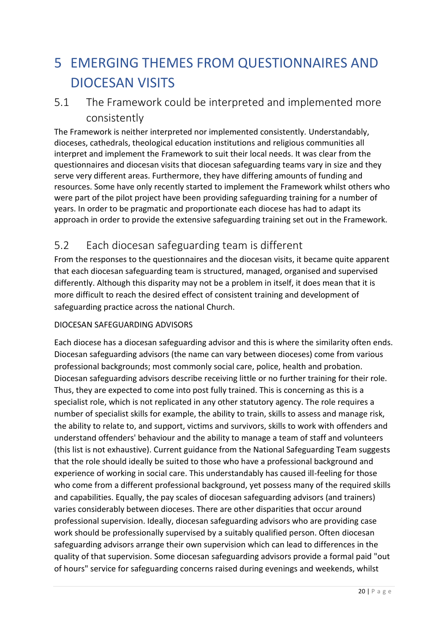# <span id="page-19-0"></span>5 EMERGING THEMES FROM QUESTIONNAIRES AND DIOCESAN VISITS

### <span id="page-19-1"></span>5.1 The Framework could be interpreted and implemented more consistently

The Framework is neither interpreted nor implemented consistently. Understandably, dioceses, cathedrals, theological education institutions and religious communities all interpret and implement the Framework to suit their local needs. It was clear from the questionnaires and diocesan visits that diocesan safeguarding teams vary in size and they serve very different areas. Furthermore, they have differing amounts of funding and resources. Some have only recently started to implement the Framework whilst others who were part of the pilot project have been providing safeguarding training for a number of years. In order to be pragmatic and proportionate each diocese has had to adapt its approach in order to provide the extensive safeguarding training set out in the Framework.

### <span id="page-19-2"></span>5.2 Each diocesan safeguarding team is different

From the responses to the questionnaires and the diocesan visits, it became quite apparent that each diocesan safeguarding team is structured, managed, organised and supervised differently. Although this disparity may not be a problem in itself, it does mean that it is more difficult to reach the desired effect of consistent training and development of safeguarding practice across the national Church.

#### DIOCESAN SAFEGUARDING ADVISORS

Each diocese has a diocesan safeguarding advisor and this is where the similarity often ends. Diocesan safeguarding advisors (the name can vary between dioceses) come from various professional backgrounds; most commonly social care, police, health and probation. Diocesan safeguarding advisors describe receiving little or no further training for their role. Thus, they are expected to come into post fully trained. This is concerning as this is a specialist role, which is not replicated in any other statutory agency. The role requires a number of specialist skills for example, the ability to train, skills to assess and manage risk, the ability to relate to, and support, victims and survivors, skills to work with offenders and understand offenders' behaviour and the ability to manage a team of staff and volunteers (this list is not exhaustive). Current guidance from the National Safeguarding Team suggests that the role should ideally be suited to those who have a professional background and experience of working in social care. This understandably has caused ill-feeling for those who come from a different professional background, yet possess many of the required skills and capabilities. Equally, the pay scales of diocesan safeguarding advisors (and trainers) varies considerably between dioceses. There are other disparities that occur around professional supervision. Ideally, diocesan safeguarding advisors who are providing case work should be professionally supervised by a suitably qualified person. Often diocesan safeguarding advisors arrange their own supervision which can lead to differences in the quality of that supervision. Some diocesan safeguarding advisors provide a formal paid "out of hours" service for safeguarding concerns raised during evenings and weekends, whilst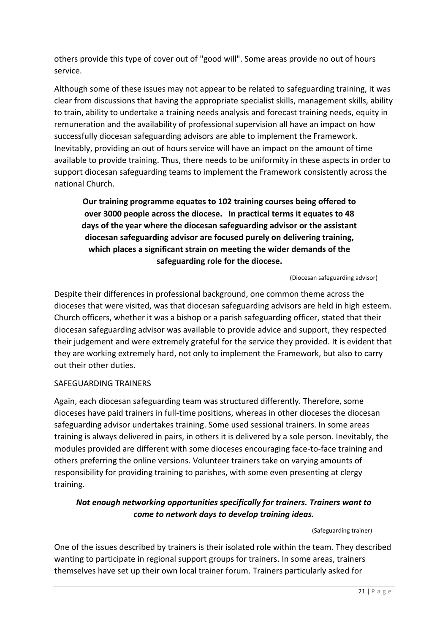others provide this type of cover out of "good will". Some areas provide no out of hours service.

Although some of these issues may not appear to be related to safeguarding training, it was clear from discussions that having the appropriate specialist skills, management skills, ability to train, ability to undertake a training needs analysis and forecast training needs, equity in remuneration and the availability of professional supervision all have an impact on how successfully diocesan safeguarding advisors are able to implement the Framework. Inevitably, providing an out of hours service will have an impact on the amount of time available to provide training. Thus, there needs to be uniformity in these aspects in order to support diocesan safeguarding teams to implement the Framework consistently across the national Church.

### **Our training programme equates to 102 training courses being offered to over 3000 people across the diocese. In practical terms it equates to 48 days of the year where the diocesan safeguarding advisor or the assistant diocesan safeguarding advisor are focused purely on delivering training, which places a significant strain on meeting the wider demands of the safeguarding role for the diocese.**

#### (Diocesan safeguarding advisor)

Despite their differences in professional background, one common theme across the dioceses that were visited, was that diocesan safeguarding advisors are held in high esteem. Church officers, whether it was a bishop or a parish safeguarding officer, stated that their diocesan safeguarding advisor was available to provide advice and support, they respected their judgement and were extremely grateful for the service they provided. It is evident that they are working extremely hard, not only to implement the Framework, but also to carry out their other duties.

#### SAFEGUARDING TRAINERS

Again, each diocesan safeguarding team was structured differently. Therefore, some dioceses have paid trainers in full-time positions, whereas in other dioceses the diocesan safeguarding advisor undertakes training. Some used sessional trainers. In some areas training is always delivered in pairs, in others it is delivered by a sole person. Inevitably, the modules provided are different with some dioceses encouraging face-to-face training and others preferring the online versions. Volunteer trainers take on varying amounts of responsibility for providing training to parishes, with some even presenting at clergy training.

#### *Not enough networking opportunities specifically for trainers. Trainers want to come to network days to develop training ideas.*

#### (Safeguarding trainer)

One of the issues described by trainers is their isolated role within the team. They described wanting to participate in regional support groups for trainers. In some areas, trainers themselves have set up their own local trainer forum. Trainers particularly asked for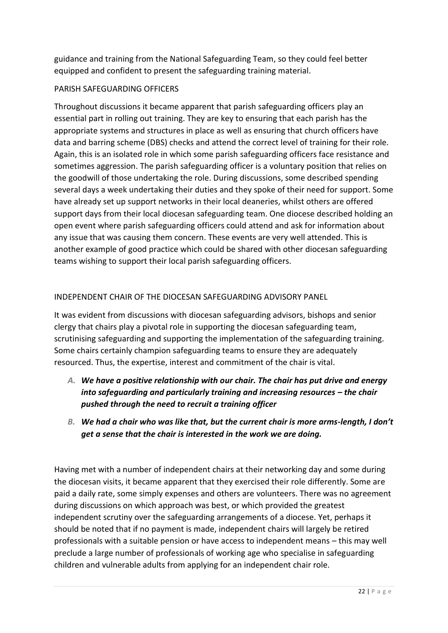guidance and training from the National Safeguarding Team, so they could feel better equipped and confident to present the safeguarding training material.

#### PARISH SAFEGUARDING OFFICERS

Throughout discussions it became apparent that parish safeguarding officers play an essential part in rolling out training. They are key to ensuring that each parish has the appropriate systems and structures in place as well as ensuring that church officers have data and barring scheme (DBS) checks and attend the correct level of training for their role. Again, this is an isolated role in which some parish safeguarding officers face resistance and sometimes aggression. The parish safeguarding officer is a voluntary position that relies on the goodwill of those undertaking the role. During discussions, some described spending several days a week undertaking their duties and they spoke of their need for support. Some have already set up support networks in their local deaneries, whilst others are offered support days from their local diocesan safeguarding team. One diocese described holding an open event where parish safeguarding officers could attend and ask for information about any issue that was causing them concern. These events are very well attended. This is another example of good practice which could be shared with other diocesan safeguarding teams wishing to support their local parish safeguarding officers.

#### INDEPENDENT CHAIR OF THE DIOCESAN SAFEGUARDING ADVISORY PANEL

It was evident from discussions with diocesan safeguarding advisors, bishops and senior clergy that chairs play a pivotal role in supporting the diocesan safeguarding team, scrutinising safeguarding and supporting the implementation of the safeguarding training. Some chairs certainly champion safeguarding teams to ensure they are adequately resourced. Thus, the expertise, interest and commitment of the chair is vital.

- *A. We have a positive relationship with our chair. The chair has put drive and energy into safeguarding and particularly training and increasing resources – the chair pushed through the need to recruit a training officer*
- *B. We had a chair who was like that, but the current chair is more arms-length, I don't get a sense that the chair is interested in the work we are doing.*

Having met with a number of independent chairs at their networking day and some during the diocesan visits, it became apparent that they exercised their role differently. Some are paid a daily rate, some simply expenses and others are volunteers. There was no agreement during discussions on which approach was best, or which provided the greatest independent scrutiny over the safeguarding arrangements of a diocese. Yet, perhaps it should be noted that if no payment is made, independent chairs will largely be retired professionals with a suitable pension or have access to independent means – this may well preclude a large number of professionals of working age who specialise in safeguarding children and vulnerable adults from applying for an independent chair role.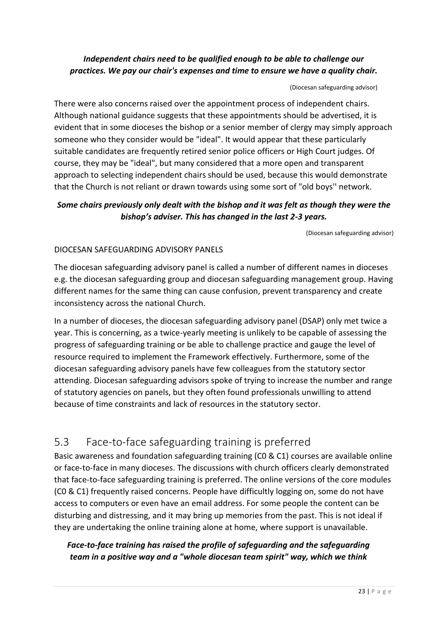#### *Independent chairs need to be qualified enough to be able to challenge our practices. We pay our chair's expenses and time to ensure we have a quality chair.*

#### (Diocesan safeguarding advisor)

There were also concerns raised over the appointment process of independent chairs. Although national guidance suggests that these appointments should be advertised, it is evident that in some dioceses the bishop or a senior member of clergy may simply approach someone who they consider would be "ideal". It would appear that these particularly suitable candidates are frequently retired senior police officers or High Court judges. Of course, they may be "ideal", but many considered that a more open and transparent approach to selecting independent chairs should be used, because this would demonstrate that the Church is not reliant or drawn towards using some sort of "old boys'' network.

### *Some chairs previously only dealt with the bishop and it was felt as though they were the bishop's adviser. This has changed in the last 2-3 years.*

(Diocesan safeguarding advisor)

#### DIOCESAN SAFEGUARDING ADVISORY PANELS

The diocesan safeguarding advisory panel is called a number of different names in dioceses e.g. the diocesan safeguarding group and diocesan safeguarding management group. Having different names for the same thing can cause confusion, prevent transparency and create inconsistency across the national Church.

In a number of dioceses, the diocesan safeguarding advisory panel (DSAP) only met twice a year. This is concerning, as a twice-yearly meeting is unlikely to be capable of assessing the progress of safeguarding training or be able to challenge practice and gauge the level of resource required to implement the Framework effectively. Furthermore, some of the diocesan safeguarding advisory panels have few colleagues from the statutory sector attending. Diocesan safeguarding advisors spoke of trying to increase the number and range of statutory agencies on panels, but they often found professionals unwilling to attend because of time constraints and lack of resources in the statutory sector.

### <span id="page-22-0"></span>5.3 Face-to-face safeguarding training is preferred

Basic awareness and foundation safeguarding training (C0 & C1) courses are available online or face-to-face in many dioceses. The discussions with church officers clearly demonstrated that face-to-face safeguarding training is preferred. The online versions of the core modules (C0 & C1) frequently raised concerns. People have difficultly logging on, some do not have access to computers or even have an email address. For some people the content can be disturbing and distressing, and it may bring up memories from the past. This is not ideal if they are undertaking the online training alone at home, where support is unavailable.

#### *Face-to-face training has raised the profile of safeguarding and the safeguarding team in a positive way and a "whole diocesan team spirit" way, which we think*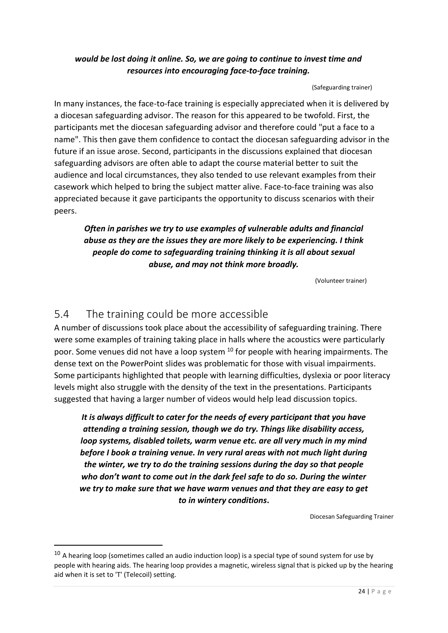#### *would be lost doing it online. So, we are going to continue to invest time and resources into encouraging face-to-face training.*

#### (Safeguarding trainer)

In many instances, the face-to-face training is especially appreciated when it is delivered by a diocesan safeguarding advisor. The reason for this appeared to be twofold. First, the participants met the diocesan safeguarding advisor and therefore could "put a face to a name". This then gave them confidence to contact the diocesan safeguarding advisor in the future if an issue arose. Second, participants in the discussions explained that diocesan safeguarding advisors are often able to adapt the course material better to suit the audience and local circumstances, they also tended to use relevant examples from their casework which helped to bring the subject matter alive. Face-to-face training was also appreciated because it gave participants the opportunity to discuss scenarios with their peers.

### *Often in parishes we try to use examples of vulnerable adults and financial abuse as they are the issues they are more likely to be experiencing. I think people do come to safeguarding training thinking it is all about sexual abuse, and may not think more broadly.*

(Volunteer trainer)

### <span id="page-23-0"></span>5.4 The training could be more accessible

-

A number of discussions took place about the accessibility of safeguarding training. There were some examples of training taking place in halls where the acoustics were particularly poor. Some venues did not have a loop system <sup>10</sup> for people with hearing impairments. The dense text on the PowerPoint slides was problematic for those with visual impairments. Some participants highlighted that people with learning difficulties, dyslexia or poor literacy levels might also struggle with the density of the text in the presentations. Participants suggested that having a larger number of videos would help lead discussion topics.

*It is always difficult to cater for the needs of every participant that you have attending a training session, though we do try. Things like disability access, loop systems, disabled toilets, warm venue etc. are all very much in my mind before I book a training venue. In very rural areas with not much light during the winter, we try to do the training sessions during the day so that people who don't want to come out in the dark feel safe to do so. During the winter we try to make sure that we have warm venues and that they are easy to get to in wintery conditions***.**

Diocesan Safeguarding Trainer

 $10$  A hearing loop (sometimes called an audio induction loop) is a special type of sound system for use by people with hearing aids. The hearing loop provides a magnetic, wireless signal that is picked up by the hearing aid when it is set to 'T' (Telecoil) setting.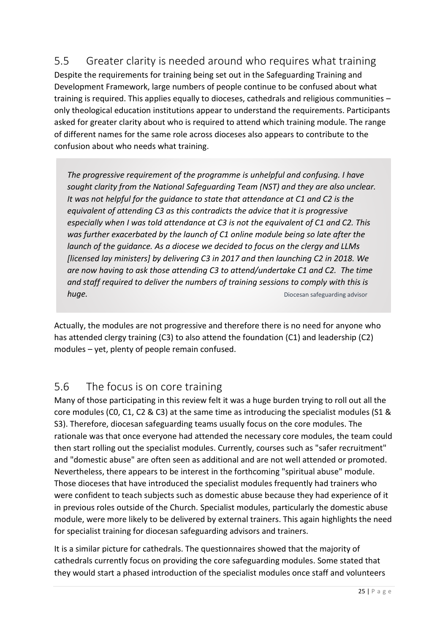### <span id="page-24-0"></span>5.5 Greater clarity is needed around who requires what training

Despite the requirements for training being set out in the Safeguarding Training and Development Framework, large numbers of people continue to be confused about what training is required. This applies equally to dioceses, cathedrals and religious communities – only theological education institutions appear to understand the requirements. Participants asked for greater clarity about who is required to attend which training module. The range of different names for the same role across dioceses also appears to contribute to the confusion about who needs what training.

*The progressive requirement of the programme is unhelpful and confusing. I have sought clarity from the National Safeguarding Team (NST) and they are also unclear. It was not helpful for the guidance to state that attendance at C1 and C2 is the equivalent of attending C3 as this contradicts the advice that it is progressive especially when I was told attendance at C3 is not the equivalent of C1 and C2. This was further exacerbated by the launch of C1 online module being so late after the launch of the guidance. As a diocese we decided to focus on the clergy and LLMs [licensed lay ministers] by delivering C3 in 2017 and then launching C2 in 2018. We are now having to ask those attending C3 to attend/undertake C1 and C2. The time and staff required to deliver the numbers of training sessions to comply with this is*  **huge.** Diocesan safeguarding advisor

Actually, the modules are not progressive and therefore there is no need for anyone who has attended clergy training (C3) to also attend the foundation (C1) and leadership (C2) modules – yet, plenty of people remain confused.

### <span id="page-24-1"></span>5.6 The focus is on core training

Many of those participating in this review felt it was a huge burden trying to roll out all the core modules (C0, C1, C2 & C3) at the same time as introducing the specialist modules (S1 & S3). Therefore, diocesan safeguarding teams usually focus on the core modules. The rationale was that once everyone had attended the necessary core modules, the team could then start rolling out the specialist modules. Currently, courses such as "safer recruitment" and "domestic abuse" are often seen as additional and are not well attended or promoted. Nevertheless, there appears to be interest in the forthcoming "spiritual abuse" module. Those dioceses that have introduced the specialist modules frequently had trainers who were confident to teach subjects such as domestic abuse because they had experience of it in previous roles outside of the Church. Specialist modules, particularly the domestic abuse module, were more likely to be delivered by external trainers. This again highlights the need for specialist training for diocesan safeguarding advisors and trainers.

It is a similar picture for cathedrals. The questionnaires showed that the majority of cathedrals currently focus on providing the core safeguarding modules. Some stated that they would start a phased introduction of the specialist modules once staff and volunteers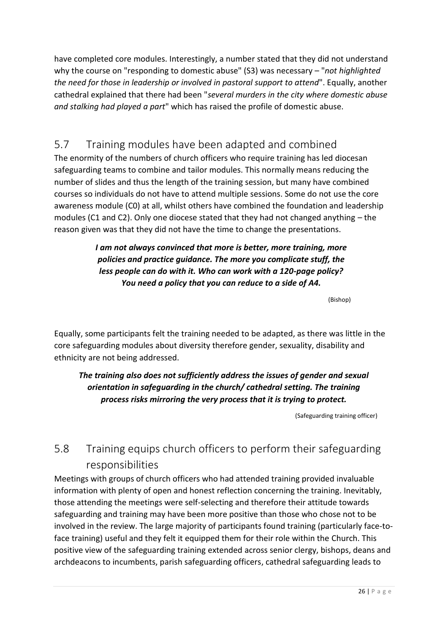have completed core modules. Interestingly, a number stated that they did not understand why the course on "responding to domestic abuse" (S3) was necessary – "*not highlighted the need for those in leadership or involved in pastoral support to attend*". Equally, another cathedral explained that there had been "*several murders in the city where domestic abuse and stalking had played a part*" which has raised the profile of domestic abuse.

## <span id="page-25-0"></span>5.7 Training modules have been adapted and combined

The enormity of the numbers of church officers who require training has led diocesan safeguarding teams to combine and tailor modules. This normally means reducing the number of slides and thus the length of the training session, but many have combined courses so individuals do not have to attend multiple sessions. Some do not use the core awareness module (C0) at all, whilst others have combined the foundation and leadership modules (C1 and C2). Only one diocese stated that they had not changed anything – the reason given was that they did not have the time to change the presentations.

### *I am not always convinced that more is better, more training, more policies and practice guidance. The more you complicate stuff, the less people can do with it. Who can work with a 120-page policy? You need a policy that you can reduce to a side of A4.*

(Bishop)

Equally, some participants felt the training needed to be adapted, as there was little in the core safeguarding modules about diversity therefore gender, sexuality, disability and ethnicity are not being addressed.

### *The training also does not sufficiently address the issues of gender and sexual orientation in safeguarding in the church/ cathedral setting. The training process risks mirroring the very process that it is trying to protect.*

(Safeguarding training officer)

## <span id="page-25-1"></span>5.8 Training equips church officers to perform their safeguarding responsibilities

Meetings with groups of church officers who had attended training provided invaluable information with plenty of open and honest reflection concerning the training. Inevitably, those attending the meetings were self-selecting and therefore their attitude towards safeguarding and training may have been more positive than those who chose not to be involved in the review. The large majority of participants found training (particularly face-toface training) useful and they felt it equipped them for their role within the Church. This positive view of the safeguarding training extended across senior clergy, bishops, deans and archdeacons to incumbents, parish safeguarding officers, cathedral safeguarding leads to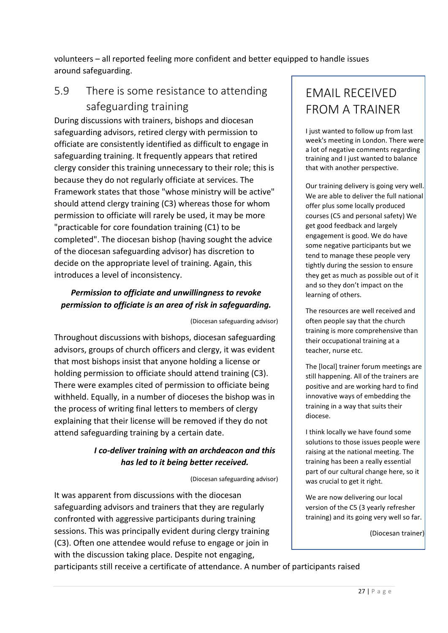volunteers – all reported feeling more confident and better equipped to handle issues around safeguarding.

## <span id="page-26-0"></span>5.9 There is some resistance to attending safeguarding training

During discussions with trainers, bishops and diocesan safeguarding advisors, retired clergy with permission to officiate are consistently identified as difficult to engage in safeguarding training. It frequently appears that retired clergy consider this training unnecessary to their role; this is because they do not regularly officiate at services. The Framework states that those "whose ministry will be active" should attend clergy training (C3) whereas those for whom permission to officiate will rarely be used, it may be more "practicable for core foundation training (C1) to be completed". The diocesan bishop (having sought the advice of the diocesan safeguarding advisor) has discretion to decide on the appropriate level of training. Again, this introduces a level of inconsistency.

### *Permission to officiate and unwillingness to revoke permission to officiate is an area of risk in safeguarding.*

(Diocesan safeguarding advisor)

Throughout discussions with bishops, diocesan safeguarding advisors, groups of church officers and clergy, it was evident that most bishops insist that anyone holding a license or holding permission to officiate should attend training (C3). There were examples cited of permission to officiate being withheld. Equally, in a number of dioceses the bishop was in the process of writing final letters to members of clergy explaining that their license will be removed if they do not attend safeguarding training by a certain date.

### *I co-deliver training with an archdeacon and this has led to it being better received.*

(Diocesan safeguarding advisor)

It was apparent from discussions with the diocesan safeguarding advisors and trainers that they are regularly confronted with aggressive participants during training sessions. This was principally evident during clergy training (C3). Often one attendee would refuse to engage or join in with the discussion taking place. Despite not engaging,

## EMAIL RECEIVED FROM A TRAINER

I just wanted to follow up from last week's meeting in London. There were a lot of negative comments regarding training and I just wanted to balance that with another perspective.

Our training delivery is going very well. We are able to deliver the full national offer plus some locally produced courses (C5 and personal safety) We get good feedback and largely engagement is good. We do have some negative participants but we tend to manage these people very tightly during the session to ensure they get as much as possible out of it and so they don't impact on the learning of others.

The resources are well received and often people say that the church training is more comprehensive than their occupational training at a teacher, nurse etc.

The [local] trainer forum meetings are still happening. All of the trainers are positive and are working hard to find innovative ways of embedding the training in a way that suits their diocese.

I think locally we have found some solutions to those issues people were raising at the national meeting. The training has been a really essential part of our cultural change here, so it was crucial to get it right.

We are now delivering our local version of the C5 (3 yearly refresher training) and its going very well so far.

(Diocesan trainer)

participants still receive a certificate of attendance. A number of participants raised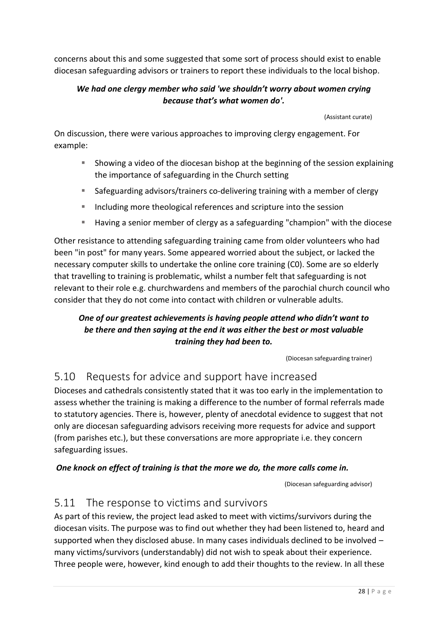concerns about this and some suggested that some sort of process should exist to enable diocesan safeguarding advisors or trainers to report these individuals to the local bishop.

### *We had one clergy member who said 'we shouldn't worry about women crying because that's what women do'.*

(Assistant curate)

On discussion, there were various approaches to improving clergy engagement. For example:

- Showing a video of the diocesan bishop at the beginning of the session explaining the importance of safeguarding in the Church setting
- Safeguarding advisors/trainers co-delivering training with a member of clergy
- Including more theological references and scripture into the session
- Having a senior member of clergy as a safeguarding "champion" with the diocese

Other resistance to attending safeguarding training came from older volunteers who had been "in post" for many years. Some appeared worried about the subject, or lacked the necessary computer skills to undertake the online core training (C0). Some are so elderly that travelling to training is problematic, whilst a number felt that safeguarding is not relevant to their role e.g. churchwardens and members of the parochial church council who consider that they do not come into contact with children or vulnerable adults.

### *One of our greatest achievements is having people attend who didn't want to be there and then saying at the end it was either the best or most valuable training they had been to.*

(Diocesan safeguarding trainer)

### <span id="page-27-0"></span>5.10 Requests for advice and support have increased

Dioceses and cathedrals consistently stated that it was too early in the implementation to assess whether the training is making a difference to the number of formal referrals made to statutory agencies. There is, however, plenty of anecdotal evidence to suggest that not only are diocesan safeguarding advisors receiving more requests for advice and support (from parishes etc.), but these conversations are more appropriate i.e. they concern safeguarding issues.

#### *One knock on effect of training is that the more we do, the more calls come in.*

(Diocesan safeguarding advisor)

### <span id="page-27-1"></span>5.11 The response to victims and survivors

As part of this review, the project lead asked to meet with victims/survivors during the diocesan visits. The purpose was to find out whether they had been listened to, heard and supported when they disclosed abuse. In many cases individuals declined to be involved  $$ many victims/survivors (understandably) did not wish to speak about their experience. Three people were, however, kind enough to add their thoughts to the review. In all these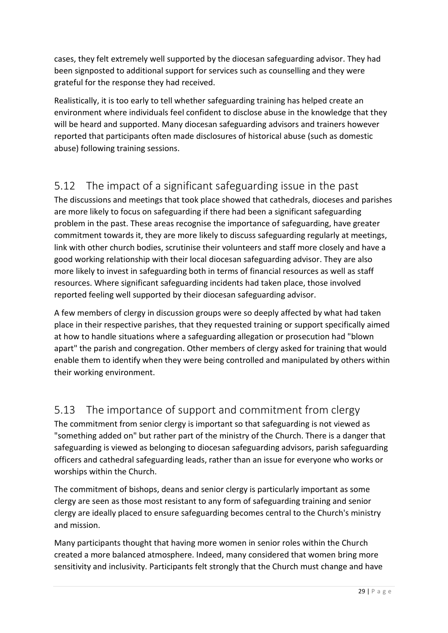cases, they felt extremely well supported by the diocesan safeguarding advisor. They had been signposted to additional support for services such as counselling and they were grateful for the response they had received.

Realistically, it is too early to tell whether safeguarding training has helped create an environment where individuals feel confident to disclose abuse in the knowledge that they will be heard and supported. Many diocesan safeguarding advisors and trainers however reported that participants often made disclosures of historical abuse (such as domestic abuse) following training sessions.

## <span id="page-28-0"></span>5.12 The impact of a significant safeguarding issue in the past

The discussions and meetings that took place showed that cathedrals, dioceses and parishes are more likely to focus on safeguarding if there had been a significant safeguarding problem in the past. These areas recognise the importance of safeguarding, have greater commitment towards it, they are more likely to discuss safeguarding regularly at meetings, link with other church bodies, scrutinise their volunteers and staff more closely and have a good working relationship with their local diocesan safeguarding advisor. They are also more likely to invest in safeguarding both in terms of financial resources as well as staff resources. Where significant safeguarding incidents had taken place, those involved reported feeling well supported by their diocesan safeguarding advisor.

A few members of clergy in discussion groups were so deeply affected by what had taken place in their respective parishes, that they requested training or support specifically aimed at how to handle situations where a safeguarding allegation or prosecution had "blown apart" the parish and congregation. Other members of clergy asked for training that would enable them to identify when they were being controlled and manipulated by others within their working environment.

## <span id="page-28-1"></span>5.13 The importance of support and commitment from clergy

The commitment from senior clergy is important so that safeguarding is not viewed as "something added on" but rather part of the ministry of the Church. There is a danger that safeguarding is viewed as belonging to diocesan safeguarding advisors, parish safeguarding officers and cathedral safeguarding leads, rather than an issue for everyone who works or worships within the Church.

The commitment of bishops, deans and senior clergy is particularly important as some clergy are seen as those most resistant to any form of safeguarding training and senior clergy are ideally placed to ensure safeguarding becomes central to the Church's ministry and mission.

Many participants thought that having more women in senior roles within the Church created a more balanced atmosphere. Indeed, many considered that women bring more sensitivity and inclusivity. Participants felt strongly that the Church must change and have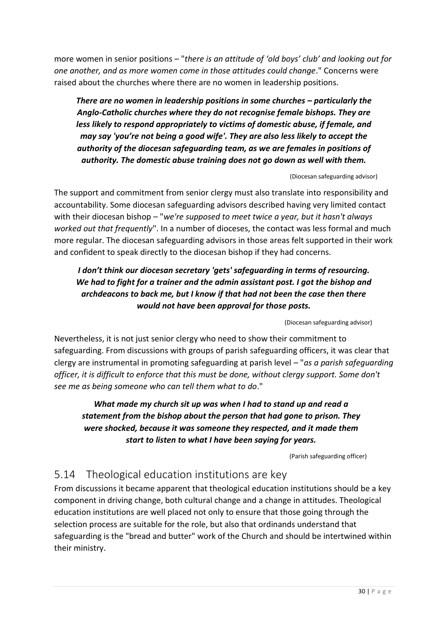more women in senior positions – "*there is an attitude of 'old boys' club' and looking out for one another, and as more women come in those attitudes could change*." Concerns were raised about the churches where there are no women in leadership positions.

*There are no women in leadership positions in some churches – particularly the Anglo-Catholic churches where they do not recognise female bishops. They are*  less likely to respond appropriately to victims of domestic abuse, if female, and *may say 'you're not being a good wife'. They are also less likely to accept the authority of the diocesan safeguarding team, as we are females in positions of authority. The domestic abuse training does not go down as well with them.*

(Diocesan safeguarding advisor)

The support and commitment from senior clergy must also translate into responsibility and accountability. Some diocesan safeguarding advisors described having very limited contact with their diocesan bishop – "*we're supposed to meet twice a year, but it hasn't always worked out that frequently*". In a number of dioceses, the contact was less formal and much more regular. The diocesan safeguarding advisors in those areas felt supported in their work and confident to speak directly to the diocesan bishop if they had concerns.

### *I don't think our diocesan secretary 'gets' safeguarding in terms of resourcing. We had to fight for a trainer and the admin assistant post. I got the bishop and archdeacons to back me, but I know if that had not been the case then there would not have been approval for those posts.*

(Diocesan safeguarding advisor)

Nevertheless, it is not just senior clergy who need to show their commitment to safeguarding. From discussions with groups of parish safeguarding officers, it was clear that clergy are instrumental in promoting safeguarding at parish level – "*as a parish safeguarding officer, it is difficult to enforce that this must be done, without clergy support. Some don't see me as being someone who can tell them what to do*."

### *What made my church sit up was when I had to stand up and read a statement from the bishop about the person that had gone to prison. They were shocked, because it was someone they respected, and it made them start to listen to what I have been saying for years.*

(Parish safeguarding officer)

### <span id="page-29-0"></span>5.14 Theological education institutions are key

From discussions it became apparent that theological education institutions should be a key component in driving change, both cultural change and a change in attitudes. Theological education institutions are well placed not only to ensure that those going through the selection process are suitable for the role, but also that ordinands understand that safeguarding is the "bread and butter" work of the Church and should be intertwined within their ministry.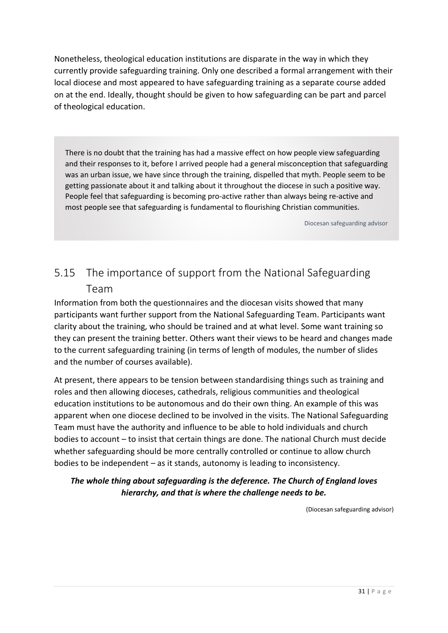Nonetheless, theological education institutions are disparate in the way in which they currently provide safeguarding training. Only one described a formal arrangement with their local diocese and most appeared to have safeguarding training as a separate course added on at the end. Ideally, thought should be given to how safeguarding can be part and parcel of theological education.

There is no doubt that the training has had a massive effect on how people view safeguarding and their responses to it, before I arrived people had a general misconception that safeguarding was an urban issue, we have since through the training, dispelled that myth. People seem to be getting passionate about it and talking about it throughout the diocese in such a positive way. People feel that safeguarding is becoming pro-active rather than always being re-active and most people see that safeguarding is fundamental to flourishing Christian communities.

Diocesan safeguarding advisor

## <span id="page-30-0"></span>5.15 The importance of support from the National Safeguarding Team

Information from both the questionnaires and the diocesan visits showed that many participants want further support from the National Safeguarding Team. Participants want clarity about the training, who should be trained and at what level. Some want training so they can present the training better. Others want their views to be heard and changes made to the current safeguarding training (in terms of length of modules, the number of slides and the number of courses available).

At present, there appears to be tension between standardising things such as training and roles and then allowing dioceses, cathedrals, religious communities and theological education institutions to be autonomous and do their own thing. An example of this was apparent when one diocese declined to be involved in the visits. The National Safeguarding Team must have the authority and influence to be able to hold individuals and church bodies to account – to insist that certain things are done. The national Church must decide whether safeguarding should be more centrally controlled or continue to allow church bodies to be independent – as it stands, autonomy is leading to inconsistency.

### *The whole thing about safeguarding is the deference. The Church of England loves hierarchy, and that is where the challenge needs to be.*

(Diocesan safeguarding advisor)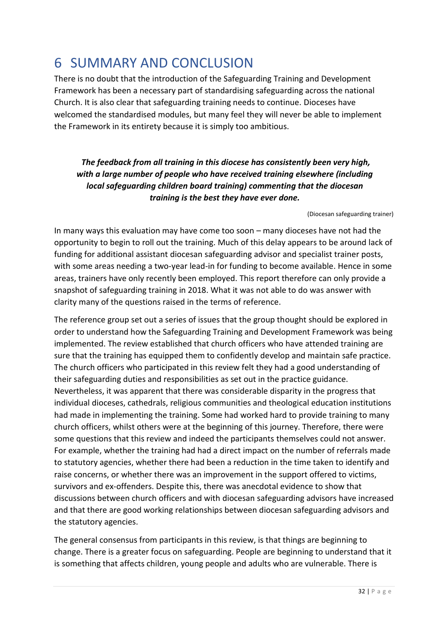# <span id="page-31-0"></span>6 SUMMARY AND CONCLUSION

There is no doubt that the introduction of the Safeguarding Training and Development Framework has been a necessary part of standardising safeguarding across the national Church. It is also clear that safeguarding training needs to continue. Dioceses have welcomed the standardised modules, but many feel they will never be able to implement the Framework in its entirety because it is simply too ambitious.

### *The feedback from all training in this diocese has consistently been very high, with a large number of people who have received training elsewhere (including local safeguarding children board training) commenting that the diocesan training is the best they have ever done.*

#### (Diocesan safeguarding trainer)

In many ways this evaluation may have come too soon – many dioceses have not had the opportunity to begin to roll out the training. Much of this delay appears to be around lack of funding for additional assistant diocesan safeguarding advisor and specialist trainer posts, with some areas needing a two-year lead-in for funding to become available. Hence in some areas, trainers have only recently been employed. This report therefore can only provide a snapshot of safeguarding training in 2018. What it was not able to do was answer with clarity many of the questions raised in the terms of reference.

The reference group set out a series of issues that the group thought should be explored in order to understand how the Safeguarding Training and Development Framework was being implemented. The review established that church officers who have attended training are sure that the training has equipped them to confidently develop and maintain safe practice. The church officers who participated in this review felt they had a good understanding of their safeguarding duties and responsibilities as set out in the practice guidance. Nevertheless, it was apparent that there was considerable disparity in the progress that individual dioceses, cathedrals, religious communities and theological education institutions had made in implementing the training. Some had worked hard to provide training to many church officers, whilst others were at the beginning of this journey. Therefore, there were some questions that this review and indeed the participants themselves could not answer. For example, whether the training had had a direct impact on the number of referrals made to statutory agencies, whether there had been a reduction in the time taken to identify and raise concerns, or whether there was an improvement in the support offered to victims, survivors and ex-offenders. Despite this, there was anecdotal evidence to show that discussions between church officers and with diocesan safeguarding advisors have increased and that there are good working relationships between diocesan safeguarding advisors and the statutory agencies.

The general consensus from participants in this review, is that things are beginning to change. There is a greater focus on safeguarding. People are beginning to understand that it is something that affects children, young people and adults who are vulnerable. There is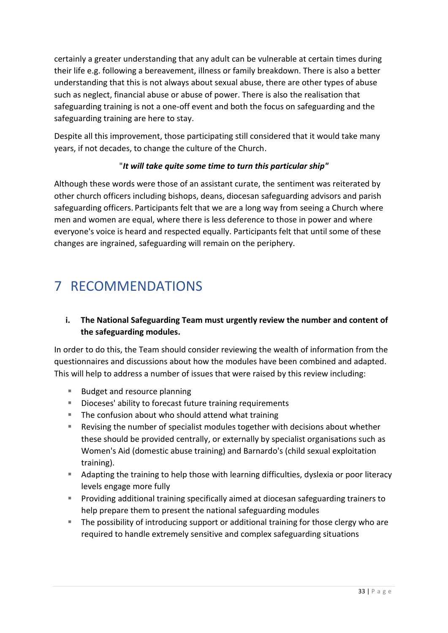certainly a greater understanding that any adult can be vulnerable at certain times during their life e.g. following a bereavement, illness or family breakdown. There is also a better understanding that this is not always about sexual abuse, there are other types of abuse such as neglect, financial abuse or abuse of power. There is also the realisation that safeguarding training is not a one-off event and both the focus on safeguarding and the safeguarding training are here to stay.

Despite all this improvement, those participating still considered that it would take many years, if not decades, to change the culture of the Church.

#### "*It will take quite some time to turn this particular ship"*

Although these words were those of an assistant curate, the sentiment was reiterated by other church officers including bishops, deans, diocesan safeguarding advisors and parish safeguarding officers. Participants felt that we are a long way from seeing a Church where men and women are equal, where there is less deference to those in power and where everyone's voice is heard and respected equally. Participants felt that until some of these changes are ingrained, safeguarding will remain on the periphery.

# <span id="page-32-0"></span>7 RECOMMENDATIONS

### **i. The National Safeguarding Team must urgently review the number and content of the safeguarding modules.**

In order to do this, the Team should consider reviewing the wealth of information from the questionnaires and discussions about how the modules have been combined and adapted. This will help to address a number of issues that were raised by this review including:

- Budget and resource planning
- Dioceses' ability to forecast future training requirements
- The confusion about who should attend what training
- Revising the number of specialist modules together with decisions about whether these should be provided centrally, or externally by specialist organisations such as Women's Aid (domestic abuse training) and Barnardo's (child sexual exploitation training).
- Adapting the training to help those with learning difficulties, dyslexia or poor literacy levels engage more fully
- Providing additional training specifically aimed at diocesan safeguarding trainers to help prepare them to present the national safeguarding modules
- The possibility of introducing support or additional training for those clergy who are required to handle extremely sensitive and complex safeguarding situations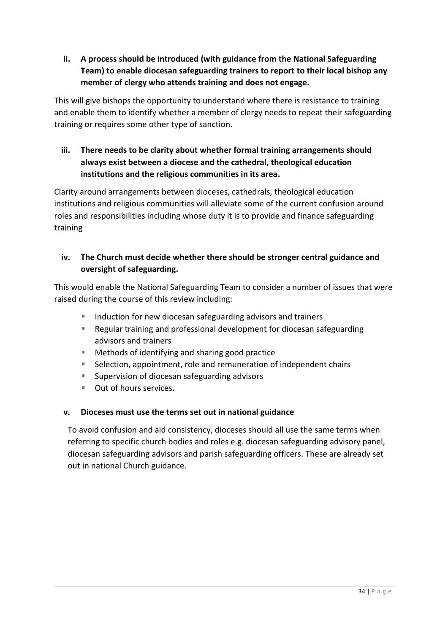**ii. A process should be introduced (with guidance from the National Safeguarding Team) to enable diocesan safeguarding trainers to report to their local bishop any member of clergy who attends training and does not engage.**

This will give bishops the opportunity to understand where there is resistance to training and enable them to identify whether a member of clergy needs to repeat their safeguarding training or requires some other type of sanction.

### **iii. There needs to be clarity about whether formal training arrangements should always exist between a diocese and the cathedral, theological education institutions and the religious communities in its area.**

Clarity around arrangements between dioceses, cathedrals, theological education institutions and religious communities will alleviate some of the current confusion around roles and responsibilities including whose duty it is to provide and finance safeguarding training

### **iv. The Church must decide whether there should be stronger central guidance and oversight of safeguarding.**

This would enable the National Safeguarding Team to consider a number of issues that were raised during the course of this review including:

- Induction for new diocesan safeguarding advisors and trainers
- Regular training and professional development for diocesan safeguarding advisors and trainers
- Methods of identifying and sharing good practice
- Selection, appointment, role and remuneration of independent chairs
- Supervision of diocesan safeguarding advisors
- Out of hours services.

#### **v. Dioceses must use the terms set out in national guidance**

To avoid confusion and aid consistency, dioceses should all use the same terms when referring to specific church bodies and roles e.g. diocesan safeguarding advisory panel, diocesan safeguarding advisors and parish safeguarding officers. These are already set out in national Church guidance.